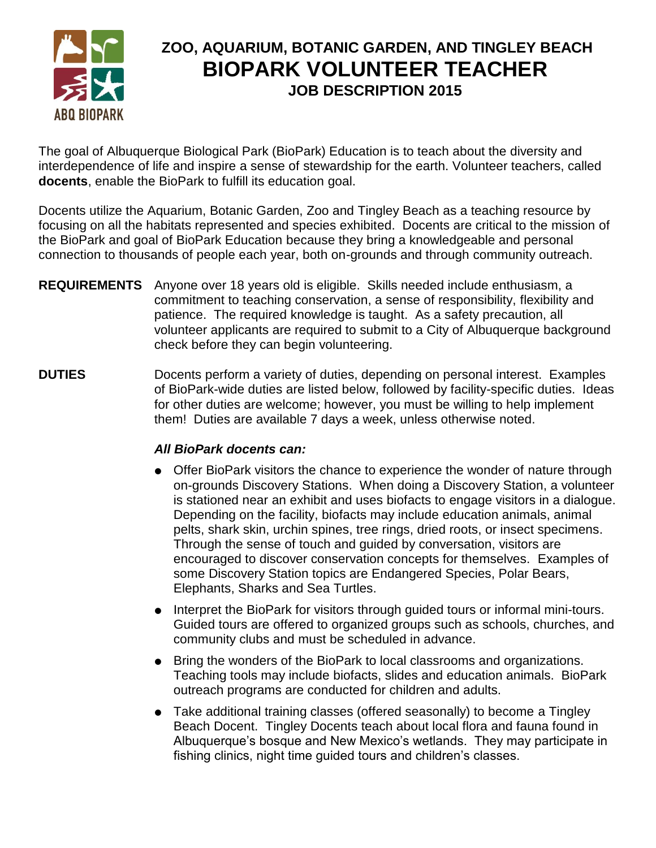

# **ZOO, AQUARIUM, BOTANIC GARDEN, AND TINGLEY BEACH BIOPARK VOLUNTEER TEACHER JOB DESCRIPTION 2015**

The goal of Albuquerque Biological Park (BioPark) Education is to teach about the diversity and interdependence of life and inspire a sense of stewardship for the earth. Volunteer teachers, called **docents**, enable the BioPark to fulfill its education goal.

Docents utilize the Aquarium, Botanic Garden, Zoo and Tingley Beach as a teaching resource by focusing on all the habitats represented and species exhibited. Docents are critical to the mission of the BioPark and goal of BioPark Education because they bring a knowledgeable and personal connection to thousands of people each year, both on-grounds and through community outreach.

- **REQUIREMENTS** Anyone over 18 years old is eligible. Skills needed include enthusiasm, a commitment to teaching conservation, a sense of responsibility, flexibility and patience. The required knowledge is taught. As a safety precaution, all volunteer applicants are required to submit to a City of Albuquerque background check before they can begin volunteering.
- **DUTIES** Docents perform a variety of duties, depending on personal interest. Examples of BioPark-wide duties are listed below, followed by facility-specific duties. Ideas for other duties are welcome; however, you must be willing to help implement them! Duties are available 7 days a week, unless otherwise noted.

### *All BioPark docents can:*

- Offer BioPark visitors the chance to experience the wonder of nature through on-grounds Discovery Stations. When doing a Discovery Station, a volunteer is stationed near an exhibit and uses biofacts to engage visitors in a dialogue. Depending on the facility, biofacts may include education animals, animal pelts, shark skin, urchin spines, tree rings, dried roots, or insect specimens. Through the sense of touch and guided by conversation, visitors are encouraged to discover conservation concepts for themselves. Examples of some Discovery Station topics are Endangered Species, Polar Bears, Elephants, Sharks and Sea Turtles.
- Interpret the BioPark for visitors through guided tours or informal mini-tours. Guided tours are offered to organized groups such as schools, churches, and community clubs and must be scheduled in advance.
- Bring the wonders of the BioPark to local classrooms and organizations. Teaching tools may include biofacts, slides and education animals. BioPark outreach programs are conducted for children and adults.
- Take additional training classes (offered seasonally) to become a Tingley Beach Docent. Tingley Docents teach about local flora and fauna found in Albuquerque's bosque and New Mexico's wetlands. They may participate in fishing clinics, night time guided tours and children's classes.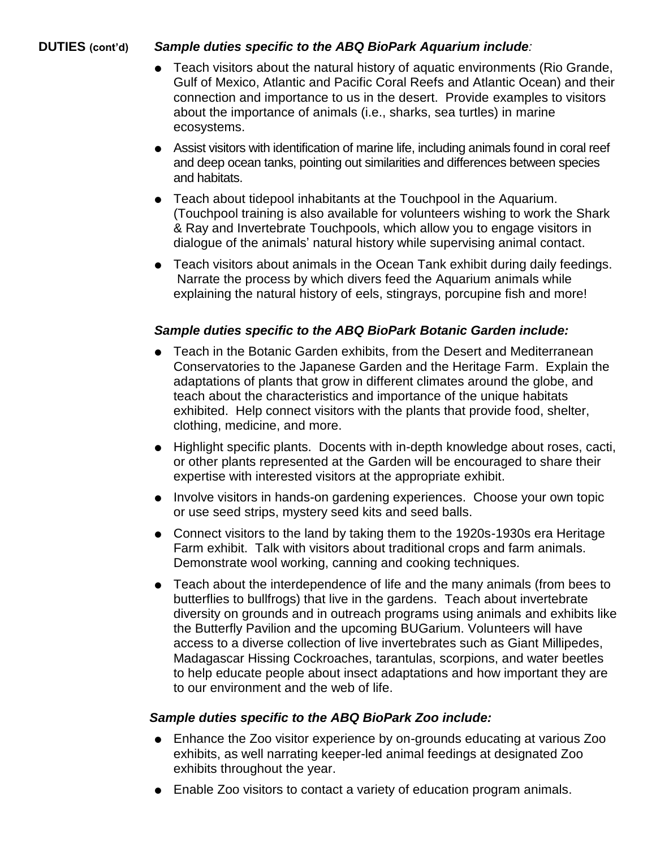## **DUTIES (cont'd)** *Sample duties specific to the ABQ BioPark Aquarium include:*

- Teach visitors about the natural history of aquatic environments (Rio Grande, Gulf of Mexico, Atlantic and Pacific Coral Reefs and Atlantic Ocean) and their connection and importance to us in the desert. Provide examples to visitors about the importance of animals (i.e., sharks, sea turtles) in marine ecosystems.
- Assist visitors with identification of marine life, including animals found in coral reef and deep ocean tanks, pointing out similarities and differences between species and habitats.
- Teach about tidepool inhabitants at the Touchpool in the Aquarium. (Touchpool training is also available for volunteers wishing to work the Shark & Ray and Invertebrate Touchpools, which allow you to engage visitors in dialogue of the animals' natural history while supervising animal contact.
- Teach visitors about animals in the Ocean Tank exhibit during daily feedings. Narrate the process by which divers feed the Aquarium animals while explaining the natural history of eels, stingrays, porcupine fish and more!

### *Sample duties specific to the ABQ BioPark Botanic Garden include:*

- Teach in the Botanic Garden exhibits, from the Desert and Mediterranean Conservatories to the Japanese Garden and the Heritage Farm. Explain the adaptations of plants that grow in different climates around the globe, and teach about the characteristics and importance of the unique habitats exhibited. Help connect visitors with the plants that provide food, shelter, clothing, medicine, and more.
- Highlight specific plants. Docents with in-depth knowledge about roses, cacti, or other plants represented at the Garden will be encouraged to share their expertise with interested visitors at the appropriate exhibit.
- Involve visitors in hands-on gardening experiences. Choose your own topic or use seed strips, mystery seed kits and seed balls.
- Connect visitors to the land by taking them to the 1920s-1930s era Heritage Farm exhibit. Talk with visitors about traditional crops and farm animals. Demonstrate wool working, canning and cooking techniques.
- Teach about the interdependence of life and the many animals (from bees to butterflies to bullfrogs) that live in the gardens. Teach about invertebrate diversity on grounds and in outreach programs using animals and exhibits like the Butterfly Pavilion and the upcoming BUGarium. Volunteers will have access to a diverse collection of live invertebrates such as Giant Millipedes, Madagascar Hissing Cockroaches, tarantulas, scorpions, and water beetles to help educate people about insect adaptations and how important they are to our environment and the web of life.

### *Sample duties specific to the ABQ BioPark Zoo include:*

- Enhance the Zoo visitor experience by on-grounds educating at various Zoo exhibits, as well narrating keeper-led animal feedings at designated Zoo exhibits throughout the year.
- Enable Zoo visitors to contact a variety of education program animals.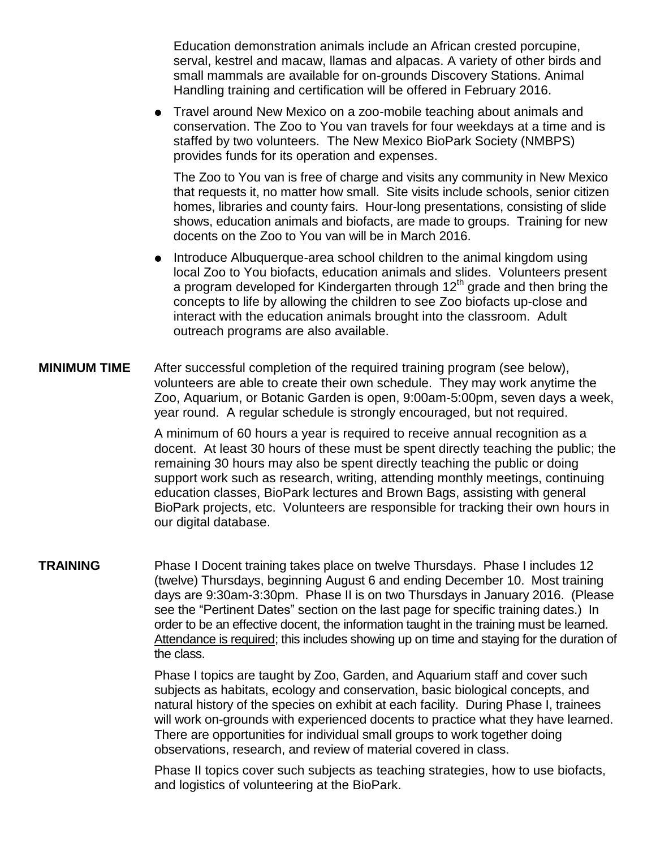Education demonstration animals include an African crested porcupine, serval, kestrel and macaw, llamas and alpacas. A variety of other birds and small mammals are available for on-grounds Discovery Stations. Animal Handling training and certification will be offered in February 2016.

 Travel around New Mexico on a zoo-mobile teaching about animals and conservation. The Zoo to You van travels for four weekdays at a time and is staffed by two volunteers. The New Mexico BioPark Society (NMBPS) provides funds for its operation and expenses.

The Zoo to You van is free of charge and visits any community in New Mexico that requests it, no matter how small. Site visits include schools, senior citizen homes, libraries and county fairs. Hour-long presentations, consisting of slide shows, education animals and biofacts, are made to groups. Training for new docents on the Zoo to You van will be in March 2016.

- Introduce Albuquerque-area school children to the animal kingdom using local Zoo to You biofacts, education animals and slides. Volunteers present a program developed for Kindergarten through  $12<sup>th</sup>$  grade and then bring the concepts to life by allowing the children to see Zoo biofacts up-close and interact with the education animals brought into the classroom. Adult outreach programs are also available.
- **MINIMUM TIME** After successful completion of the required training program (see below), volunteers are able to create their own schedule. They may work anytime the Zoo, Aquarium, or Botanic Garden is open, 9:00am-5:00pm, seven days a week, year round. A regular schedule is strongly encouraged, but not required.

A minimum of 60 hours a year is required to receive annual recognition as a docent. At least 30 hours of these must be spent directly teaching the public; the remaining 30 hours may also be spent directly teaching the public or doing support work such as research, writing, attending monthly meetings, continuing education classes, BioPark lectures and Brown Bags, assisting with general BioPark projects, etc. Volunteers are responsible for tracking their own hours in our digital database.

**TRAINING** Phase I Docent training takes place on twelve Thursdays. Phase I includes 12 (twelve) Thursdays, beginning August 6 and ending December 10. Most training days are 9:30am-3:30pm. Phase II is on two Thursdays in January 2016. (Please see the "Pertinent Dates" section on the last page for specific training dates.) In order to be an effective docent, the information taught in the training must be learned. Attendance is required; this includes showing up on time and staying for the duration of the class.

> Phase I topics are taught by Zoo, Garden, and Aquarium staff and cover such subjects as habitats, ecology and conservation, basic biological concepts, and natural history of the species on exhibit at each facility. During Phase I, trainees will work on-grounds with experienced docents to practice what they have learned. There are opportunities for individual small groups to work together doing observations, research, and review of material covered in class.

Phase II topics cover such subjects as teaching strategies, how to use biofacts, and logistics of volunteering at the BioPark.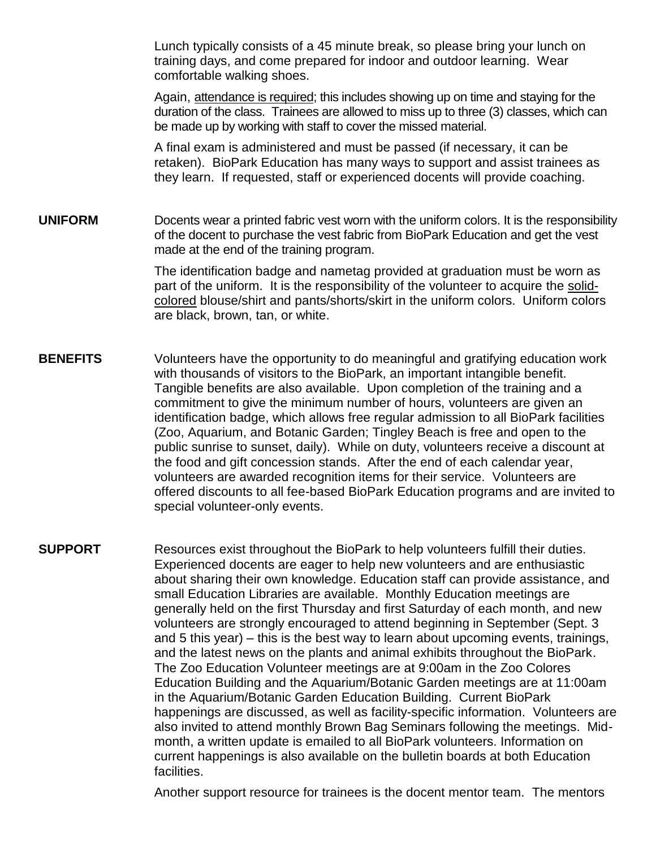Lunch typically consists of a 45 minute break, so please bring your lunch on training days, and come prepared for indoor and outdoor learning. Wear comfortable walking shoes.

Again, attendance is required; this includes showing up on time and staying for the duration of the class. Trainees are allowed to miss up to three (3) classes, which can be made up by working with staff to cover the missed material.

A final exam is administered and must be passed (if necessary, it can be retaken). BioPark Education has many ways to support and assist trainees as they learn. If requested, staff or experienced docents will provide coaching.

**UNIFORM** Docents wear a printed fabric vest worn with the uniform colors. It is the responsibility of the docent to purchase the vest fabric from BioPark Education and get the vest made at the end of the training program.

> The identification badge and nametag provided at graduation must be worn as part of the uniform. It is the responsibility of the volunteer to acquire the solidcolored blouse/shirt and pants/shorts/skirt in the uniform colors. Uniform colors are black, brown, tan, or white.

- **BENEFITS** Volunteers have the opportunity to do meaningful and gratifying education work with thousands of visitors to the BioPark, an important intangible benefit. Tangible benefits are also available. Upon completion of the training and a commitment to give the minimum number of hours, volunteers are given an identification badge, which allows free regular admission to all BioPark facilities (Zoo, Aquarium, and Botanic Garden; Tingley Beach is free and open to the public sunrise to sunset, daily). While on duty, volunteers receive a discount at the food and gift concession stands. After the end of each calendar year, volunteers are awarded recognition items for their service. Volunteers are offered discounts to all fee-based BioPark Education programs and are invited to special volunteer-only events.
- **SUPPORT** Resources exist throughout the BioPark to help volunteers fulfill their duties. Experienced docents are eager to help new volunteers and are enthusiastic about sharing their own knowledge. Education staff can provide assistance, and small Education Libraries are available. Monthly Education meetings are generally held on the first Thursday and first Saturday of each month, and new volunteers are strongly encouraged to attend beginning in September (Sept. 3 and 5 this year) – this is the best way to learn about upcoming events, trainings, and the latest news on the plants and animal exhibits throughout the BioPark. The Zoo Education Volunteer meetings are at 9:00am in the Zoo Colores Education Building and the Aquarium/Botanic Garden meetings are at 11:00am in the Aquarium/Botanic Garden Education Building. Current BioPark happenings are discussed, as well as facility-specific information. Volunteers are also invited to attend monthly Brown Bag Seminars following the meetings. Midmonth, a written update is emailed to all BioPark volunteers. Information on current happenings is also available on the bulletin boards at both Education facilities.

Another support resource for trainees is the docent mentor team. The mentors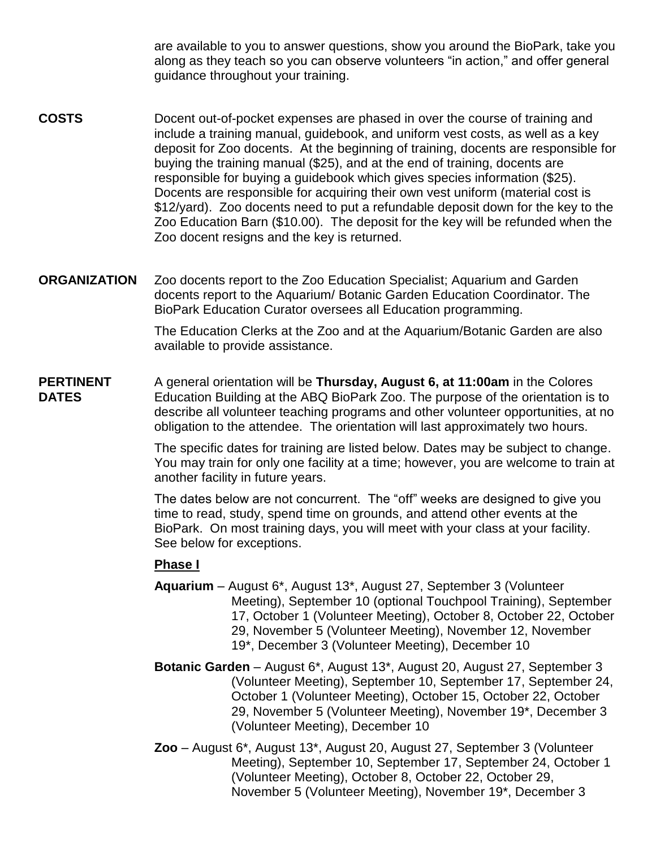are available to you to answer questions, show you around the BioPark, take you along as they teach so you can observe volunteers "in action," and offer general guidance throughout your training.

- **COSTS** Docent out-of-pocket expenses are phased in over the course of training and include a training manual, guidebook, and uniform vest costs, as well as a key deposit for Zoo docents. At the beginning of training, docents are responsible for buying the training manual (\$25), and at the end of training, docents are responsible for buying a guidebook which gives species information (\$25). Docents are responsible for acquiring their own vest uniform (material cost is \$12/yard). Zoo docents need to put a refundable deposit down for the key to the Zoo Education Barn (\$10.00). The deposit for the key will be refunded when the Zoo docent resigns and the key is returned.
- **ORGANIZATION** Zoo docents report to the Zoo Education Specialist; Aquarium and Garden docents report to the Aquarium/ Botanic Garden Education Coordinator. The BioPark Education Curator oversees all Education programming.

The Education Clerks at the Zoo and at the Aquarium/Botanic Garden are also available to provide assistance.

**PERTINENT** A general orientation will be **Thursday, August 6, at 11:00am** in the Colores **DATES** Education Building at the ABQ BioPark Zoo. The purpose of the orientation is to describe all volunteer teaching programs and other volunteer opportunities, at no obligation to the attendee. The orientation will last approximately two hours.

> The specific dates for training are listed below. Dates may be subject to change. You may train for only one facility at a time; however, you are welcome to train at another facility in future years.

The dates below are not concurrent. The "off" weeks are designed to give you time to read, study, spend time on grounds, and attend other events at the BioPark. On most training days, you will meet with your class at your facility. See below for exceptions.

#### **Phase I**

- **Aquarium** August 6\*, August 13\*, August 27, September 3 (Volunteer Meeting), September 10 (optional Touchpool Training), September 17, October 1 (Volunteer Meeting), October 8, October 22, October 29, November 5 (Volunteer Meeting), November 12, November 19\*, December 3 (Volunteer Meeting), December 10
- **Botanic Garden**  August 6\*, August 13\*, August 20, August 27, September 3 (Volunteer Meeting), September 10, September 17, September 24, October 1 (Volunteer Meeting), October 15, October 22, October 29, November 5 (Volunteer Meeting), November 19\*, December 3 (Volunteer Meeting), December 10
- **Zoo** August 6\*, August 13\*, August 20, August 27, September 3 (Volunteer Meeting), September 10, September 17, September 24, October 1 (Volunteer Meeting), October 8, October 22, October 29, November 5 (Volunteer Meeting), November 19\*, December 3